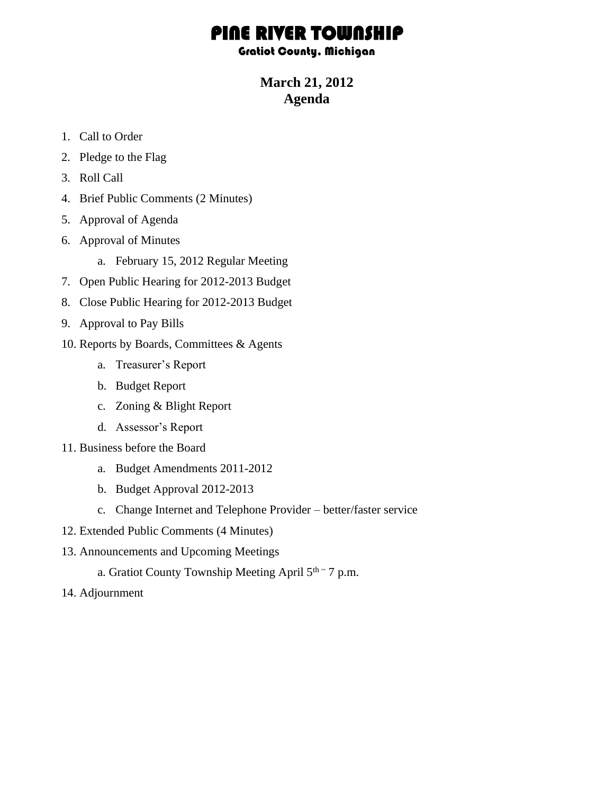## PINE RIVER TOWNSHI

Gratiot County, Michigan

**March 21, 2012 Agenda**

- 1. Call to Order
- 2. Pledge to the Flag
- 3. Roll Call
- 4. Brief Public Comments (2 Minutes)
- 5. Approval of Agenda
- 6. Approval of Minutes
	- a. February 15, 2012 Regular Meeting
- 7. Open Public Hearing for 2012-2013 Budget
- 8. Close Public Hearing for 2012-2013 Budget
- 9. Approval to Pay Bills
- 10. Reports by Boards, Committees & Agents
	- a. Treasurer's Report
	- b. Budget Report
	- c. Zoning & Blight Report
	- d. Assessor's Report
- 11. Business before the Board
	- a. Budget Amendments 2011-2012
	- b. Budget Approval 2012-2013
	- c. Change Internet and Telephone Provider better/faster service
- 12. Extended Public Comments (4 Minutes)
- 13. Announcements and Upcoming Meetings
	- a. Gratiot County Township Meeting April 5<sup>th ~</sup> 7 p.m.
- 14. Adjournment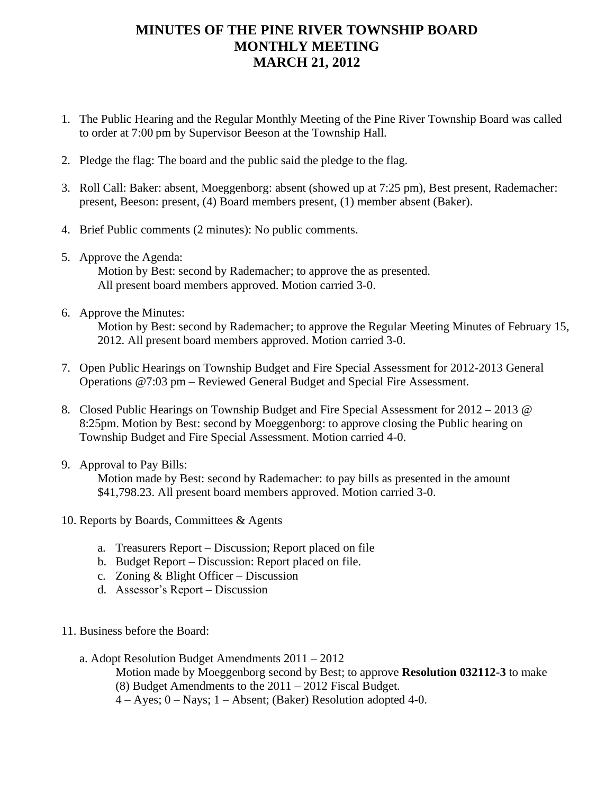## **MINUTES OF THE PINE RIVER TOWNSHIP BOARD MONTHLY MEETING MARCH 21, 2012**

- 1. The Public Hearing and the Regular Monthly Meeting of the Pine River Township Board was called to order at 7:00 pm by Supervisor Beeson at the Township Hall.
- 2. Pledge the flag: The board and the public said the pledge to the flag.
- 3. Roll Call: Baker: absent, Moeggenborg: absent (showed up at 7:25 pm), Best present, Rademacher: present, Beeson: present, (4) Board members present, (1) member absent (Baker).
- 4. Brief Public comments (2 minutes): No public comments.
- 5. Approve the Agenda:

Motion by Best: second by Rademacher; to approve the as presented. All present board members approved. Motion carried 3-0.

6. Approve the Minutes:

Motion by Best: second by Rademacher; to approve the Regular Meeting Minutes of February 15, 2012. All present board members approved. Motion carried 3-0.

- 7. Open Public Hearings on Township Budget and Fire Special Assessment for 2012-2013 General Operations @7:03 pm – Reviewed General Budget and Special Fire Assessment.
- 8. Closed Public Hearings on Township Budget and Fire Special Assessment for 2012 2013 @ 8:25pm. Motion by Best: second by Moeggenborg: to approve closing the Public hearing on Township Budget and Fire Special Assessment. Motion carried 4-0.
- 9. Approval to Pay Bills:

 Motion made by Best: second by Rademacher: to pay bills as presented in the amount \$41,798.23. All present board members approved. Motion carried 3-0.

- 10. Reports by Boards, Committees & Agents
	- a. Treasurers Report Discussion; Report placed on file
	- b. Budget Report Discussion: Report placed on file.
	- c. Zoning & Blight Officer Discussion
	- d. Assessor's Report Discussion
- 11. Business before the Board:

a. Adopt Resolution Budget Amendments 2011 – 2012 Motion made by Moeggenborg second by Best; to approve **Resolution 032112-3** to make (8) Budget Amendments to the 2011 – 2012 Fiscal Budget.  $4 - Ayes$ ;  $0 - Nays$ ;  $1 - Absent$ ; (Baker) Resolution adopted 4-0.